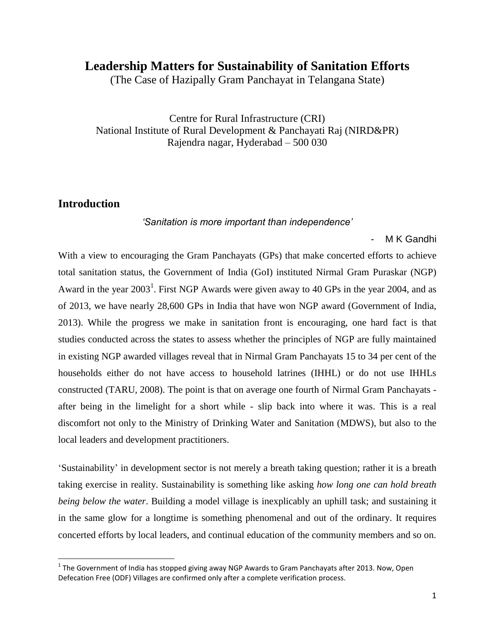# **Leadership Matters for Sustainability of Sanitation Efforts**

(The Case of Hazipally Gram Panchayat in Telangana State)

Centre for Rural Infrastructure (CRI) National Institute of Rural Development & Panchayati Raj (NIRD&PR) Rajendra nagar, Hyderabad – 500 030

### **Introduction**

l

*'Sanitation is more important than independence'*

*-* M K Gandhi

With a view to encouraging the Gram Panchayats (GPs) that make concerted efforts to achieve total sanitation status, the Government of India (GoI) instituted Nirmal Gram Puraskar (NGP) Award in the year  $2003<sup>1</sup>$ . First NGP Awards were given away to 40 GPs in the year  $2004$ , and as of 2013, we have nearly 28,600 GPs in India that have won NGP award (Government of India, 2013). While the progress we make in sanitation front is encouraging, one hard fact is that studies conducted across the states to assess whether the principles of NGP are fully maintained in existing NGP awarded villages reveal that in Nirmal Gram Panchayats 15 to 34 per cent of the households either do not have access to household latrines (IHHL) or do not use IHHLs constructed (TARU, 2008). The point is that on average one fourth of Nirmal Gram Panchayats after being in the limelight for a short while - slip back into where it was. This is a real discomfort not only to the Ministry of Drinking Water and Sanitation (MDWS), but also to the local leaders and development practitioners.

'Sustainability' in development sector is not merely a breath taking question; rather it is a breath taking exercise in reality. Sustainability is something like asking *how long one can hold breath being below the water*. Building a model village is inexplicably an uphill task; and sustaining it in the same glow for a longtime is something phenomenal and out of the ordinary. It requires concerted efforts by local leaders, and continual education of the community members and so on.

 $^1$  The Government of India has stopped giving away NGP Awards to Gram Panchayats after 2013. Now, Open Defecation Free (ODF) Villages are confirmed only after a complete verification process.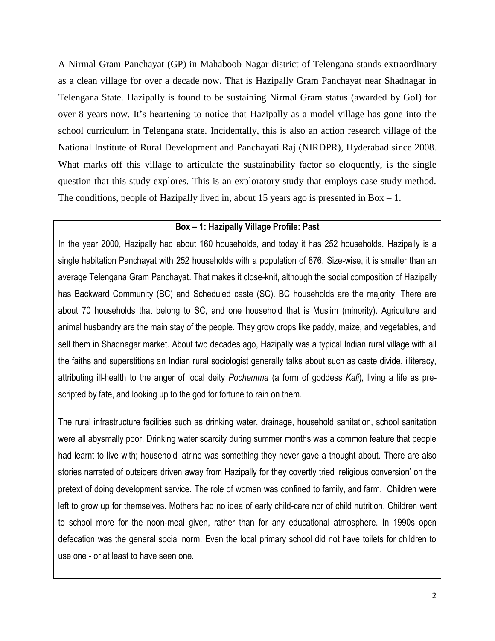A Nirmal Gram Panchayat (GP) in Mahaboob Nagar district of Telengana stands extraordinary as a clean village for over a decade now. That is Hazipally Gram Panchayat near Shadnagar in Telengana State. Hazipally is found to be sustaining Nirmal Gram status (awarded by GoI) for over 8 years now. It's heartening to notice that Hazipally as a model village has gone into the school curriculum in Telengana state. Incidentally, this is also an action research village of the National Institute of Rural Development and Panchayati Raj (NIRDPR), Hyderabad since 2008. What marks off this village to articulate the sustainability factor so eloquently, is the single question that this study explores. This is an exploratory study that employs case study method. The conditions, people of Hazipally lived in, about 15 years ago is presented in  $Box - 1$ .

### **Box – 1: Hazipally Village Profile: Past**

In the year 2000, Hazipally had about 160 households, and today it has 252 households. Hazipally is a single habitation Panchayat with 252 households with a population of 876. Size-wise, it is smaller than an average Telengana Gram Panchayat. That makes it close-knit, although the social composition of Hazipally has Backward Community (BC) and Scheduled caste (SC). BC households are the majority. There are about 70 households that belong to SC, and one household that is Muslim (minority). Agriculture and animal husbandry are the main stay of the people. They grow crops like paddy, maize, and vegetables, and sell them in Shadnagar market. About two decades ago, Hazipally was a typical Indian rural village with all the faiths and superstitions an Indian rural sociologist generally talks about such as caste divide, illiteracy, attributing ill-health to the anger of local deity *Pochemma* (a form of goddess *Kali*), living a life as prescripted by fate, and looking up to the god for fortune to rain on them.

The rural infrastructure facilities such as drinking water, drainage, household sanitation, school sanitation were all abysmally poor. Drinking water scarcity during summer months was a common feature that people had learnt to live with; household latrine was something they never gave a thought about. There are also stories narrated of outsiders driven away from Hazipally for they covertly tried 'religious conversion' on the pretext of doing development service. The role of women was confined to family, and farm. Children were left to grow up for themselves. Mothers had no idea of early child-care nor of child nutrition. Children went to school more for the noon-meal given, rather than for any educational atmosphere. In 1990s open defecation was the general social norm. Even the local primary school did not have toilets for children to use one - or at least to have seen one.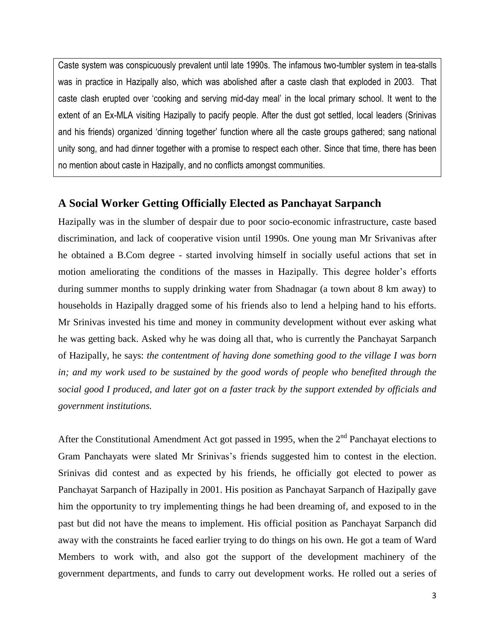Caste system was conspicuously prevalent until late 1990s. The infamous two-tumbler system in tea-stalls was in practice in Hazipally also, which was abolished after a caste clash that exploded in 2003. That caste clash erupted over 'cooking and serving mid-day meal' in the local primary school. It went to the extent of an Ex-MLA visiting Hazipally to pacify people. After the dust got settled, local leaders (Srinivas and his friends) organized 'dinning together' function where all the caste groups gathered; sang national unity song, and had dinner together with a promise to respect each other. Since that time, there has been no mention about caste in Hazipally, and no conflicts amongst communities.

### **A Social Worker Getting Officially Elected as Panchayat Sarpanch**

Hazipally was in the slumber of despair due to poor socio-economic infrastructure, caste based discrimination, and lack of cooperative vision until 1990s. One young man Mr Srivanivas after he obtained a B.Com degree - started involving himself in socially useful actions that set in motion ameliorating the conditions of the masses in Hazipally. This degree holder's efforts during summer months to supply drinking water from Shadnagar (a town about 8 km away) to households in Hazipally dragged some of his friends also to lend a helping hand to his efforts. Mr Srinivas invested his time and money in community development without ever asking what he was getting back. Asked why he was doing all that, who is currently the Panchayat Sarpanch of Hazipally, he says: *the contentment of having done something good to the village I was born in; and my work used to be sustained by the good words of people who benefited through the social good I produced, and later got on a faster track by the support extended by officials and government institutions.* 

After the Constitutional Amendment Act got passed in 1995, when the  $2<sup>nd</sup>$  Panchayat elections to Gram Panchayats were slated Mr Srinivas's friends suggested him to contest in the election. Srinivas did contest and as expected by his friends, he officially got elected to power as Panchayat Sarpanch of Hazipally in 2001. His position as Panchayat Sarpanch of Hazipally gave him the opportunity to try implementing things he had been dreaming of, and exposed to in the past but did not have the means to implement. His official position as Panchayat Sarpanch did away with the constraints he faced earlier trying to do things on his own. He got a team of Ward Members to work with, and also got the support of the development machinery of the government departments, and funds to carry out development works. He rolled out a series of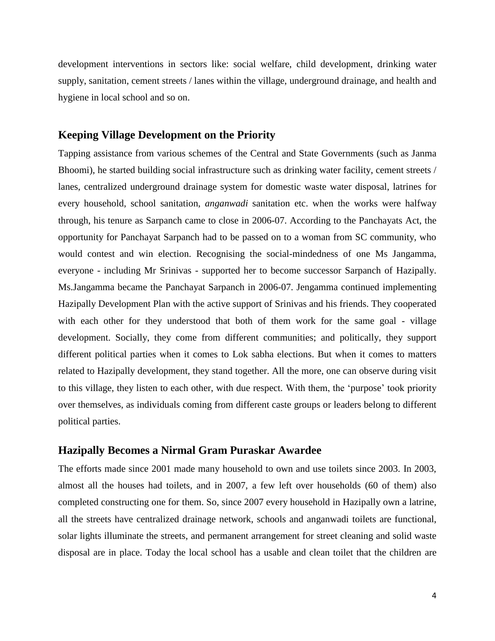development interventions in sectors like: social welfare, child development, drinking water supply, sanitation, cement streets / lanes within the village, underground drainage, and health and hygiene in local school and so on.

#### **Keeping Village Development on the Priority**

Tapping assistance from various schemes of the Central and State Governments (such as Janma Bhoomi), he started building social infrastructure such as drinking water facility, cement streets / lanes, centralized underground drainage system for domestic waste water disposal, latrines for every household, school sanitation, *anganwadi* sanitation etc. when the works were halfway through, his tenure as Sarpanch came to close in 2006-07. According to the Panchayats Act, the opportunity for Panchayat Sarpanch had to be passed on to a woman from SC community, who would contest and win election. Recognising the social-mindedness of one Ms Jangamma, everyone - including Mr Srinivas - supported her to become successor Sarpanch of Hazipally. Ms.Jangamma became the Panchayat Sarpanch in 2006-07. Jengamma continued implementing Hazipally Development Plan with the active support of Srinivas and his friends. They cooperated with each other for they understood that both of them work for the same goal - village development. Socially, they come from different communities; and politically, they support different political parties when it comes to Lok sabha elections. But when it comes to matters related to Hazipally development, they stand together. All the more, one can observe during visit to this village, they listen to each other, with due respect. With them, the 'purpose' took priority over themselves, as individuals coming from different caste groups or leaders belong to different political parties.

#### **Hazipally Becomes a Nirmal Gram Puraskar Awardee**

The efforts made since 2001 made many household to own and use toilets since 2003. In 2003, almost all the houses had toilets, and in 2007, a few left over households (60 of them) also completed constructing one for them. So, since 2007 every household in Hazipally own a latrine, all the streets have centralized drainage network, schools and anganwadi toilets are functional, solar lights illuminate the streets, and permanent arrangement for street cleaning and solid waste disposal are in place. Today the local school has a usable and clean toilet that the children are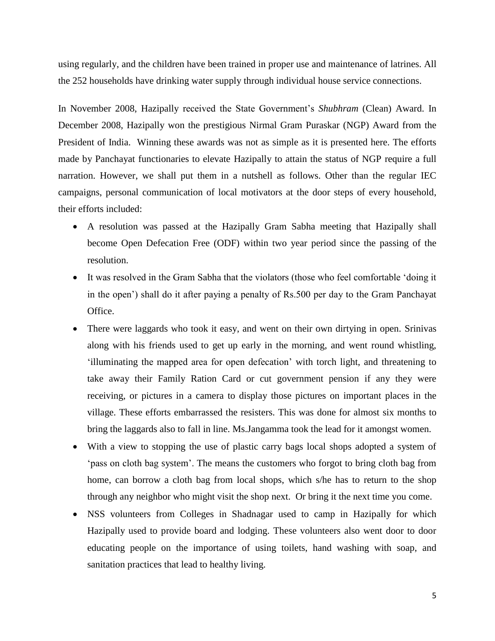using regularly, and the children have been trained in proper use and maintenance of latrines. All the 252 households have drinking water supply through individual house service connections.

In November 2008, Hazipally received the State Government's *Shubhram* (Clean) Award. In December 2008, Hazipally won the prestigious Nirmal Gram Puraskar (NGP) Award from the President of India. Winning these awards was not as simple as it is presented here. The efforts made by Panchayat functionaries to elevate Hazipally to attain the status of NGP require a full narration. However, we shall put them in a nutshell as follows. Other than the regular IEC campaigns, personal communication of local motivators at the door steps of every household, their efforts included:

- A resolution was passed at the Hazipally Gram Sabha meeting that Hazipally shall become Open Defecation Free (ODF) within two year period since the passing of the resolution.
- It was resolved in the Gram Sabha that the violators (those who feel comfortable 'doing it in the open') shall do it after paying a penalty of Rs.500 per day to the Gram Panchayat Office.
- There were laggards who took it easy, and went on their own dirtying in open. Srinivas along with his friends used to get up early in the morning, and went round whistling, 'illuminating the mapped area for open defecation' with torch light, and threatening to take away their Family Ration Card or cut government pension if any they were receiving, or pictures in a camera to display those pictures on important places in the village. These efforts embarrassed the resisters. This was done for almost six months to bring the laggards also to fall in line. Ms.Jangamma took the lead for it amongst women.
- With a view to stopping the use of plastic carry bags local shops adopted a system of 'pass on cloth bag system'. The means the customers who forgot to bring cloth bag from home, can borrow a cloth bag from local shops, which s/he has to return to the shop through any neighbor who might visit the shop next. Or bring it the next time you come.
- NSS volunteers from Colleges in Shadnagar used to camp in Hazipally for which Hazipally used to provide board and lodging. These volunteers also went door to door educating people on the importance of using toilets, hand washing with soap, and sanitation practices that lead to healthy living.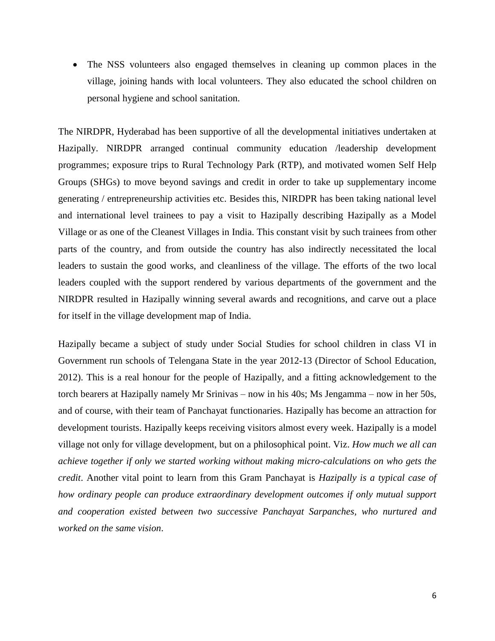The NSS volunteers also engaged themselves in cleaning up common places in the village, joining hands with local volunteers. They also educated the school children on personal hygiene and school sanitation.

The NIRDPR, Hyderabad has been supportive of all the developmental initiatives undertaken at Hazipally. NIRDPR arranged continual community education /leadership development programmes; exposure trips to Rural Technology Park (RTP), and motivated women Self Help Groups (SHGs) to move beyond savings and credit in order to take up supplementary income generating / entrepreneurship activities etc. Besides this, NIRDPR has been taking national level and international level trainees to pay a visit to Hazipally describing Hazipally as a Model Village or as one of the Cleanest Villages in India. This constant visit by such trainees from other parts of the country, and from outside the country has also indirectly necessitated the local leaders to sustain the good works, and cleanliness of the village. The efforts of the two local leaders coupled with the support rendered by various departments of the government and the NIRDPR resulted in Hazipally winning several awards and recognitions, and carve out a place for itself in the village development map of India.

Hazipally became a subject of study under Social Studies for school children in class VI in Government run schools of Telengana State in the year 2012-13 (Director of School Education, 2012). This is a real honour for the people of Hazipally, and a fitting acknowledgement to the torch bearers at Hazipally namely Mr Srinivas – now in his 40s; Ms Jengamma – now in her 50s, and of course, with their team of Panchayat functionaries. Hazipally has become an attraction for development tourists. Hazipally keeps receiving visitors almost every week. Hazipally is a model village not only for village development, but on a philosophical point. Viz. *How much we all can achieve together if only we started working without making micro-calculations on who gets the credit*. Another vital point to learn from this Gram Panchayat is *Hazipally is a typical case of how ordinary people can produce extraordinary development outcomes if only mutual support and cooperation existed between two successive Panchayat Sarpanches, who nurtured and worked on the same vision*.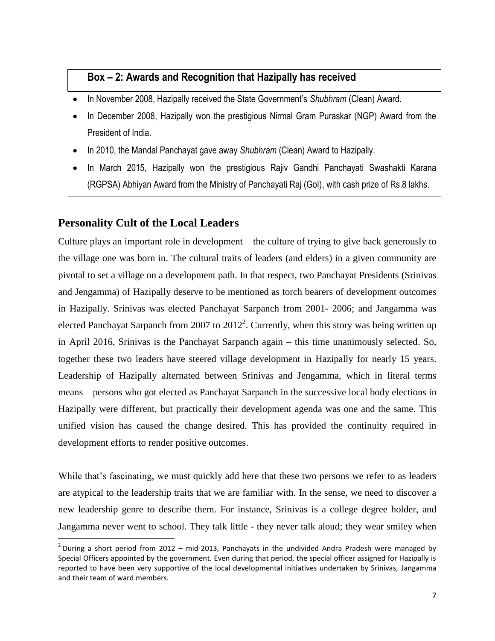# **Box – 2: Awards and Recognition that Hazipally has received**

- In November 2008, Hazipally received the State Government's *Shubhram* (Clean) Award.
- In December 2008, Hazipally won the prestigious Nirmal Gram Puraskar (NGP) Award from the President of India.
- In 2010, the Mandal Panchayat gave away *Shubhram* (Clean) Award to Hazipally.
- In March 2015, Hazipally won the prestigious Rajiv Gandhi Panchayati Swashakti Karana (RGPSA) Abhiyan Award from the Ministry of Panchayati Raj (GoI), with cash prize of Rs.8 lakhs.

# **Personality Cult of the Local Leaders**

 $\overline{a}$ 

Culture plays an important role in development – the culture of trying to give back generously to the village one was born in. The cultural traits of leaders (and elders) in a given community are pivotal to set a village on a development path. In that respect, two Panchayat Presidents (Srinivas and Jengamma) of Hazipally deserve to be mentioned as torch bearers of development outcomes in Hazipally. Srinivas was elected Panchayat Sarpanch from 2001- 2006; and Jangamma was elected Panchayat Sarpanch from 2007 to  $2012^2$ . Currently, when this story was being written up in April 2016, Srinivas is the Panchayat Sarpanch again – this time unanimously selected. So, together these two leaders have steered village development in Hazipally for nearly 15 years. Leadership of Hazipally alternated between Srinivas and Jengamma, which in literal terms means – persons who got elected as Panchayat Sarpanch in the successive local body elections in Hazipally were different, but practically their development agenda was one and the same. This unified vision has caused the change desired. This has provided the continuity required in development efforts to render positive outcomes.

While that's fascinating, we must quickly add here that these two persons we refer to as leaders are atypical to the leadership traits that we are familiar with. In the sense, we need to discover a new leadership genre to describe them. For instance, Srinivas is a college degree holder, and Jangamma never went to school. They talk little - they never talk aloud; they wear smiley when

 $^2$  During a short period from 2012 – mid-2013, Panchayats in the undivided Andra Pradesh were managed by Special Officers appointed by the government. Even during that period, the special officer assigned for Hazipally is reported to have been very supportive of the local developmental initiatives undertaken by Srinivas, Jangamma and their team of ward members.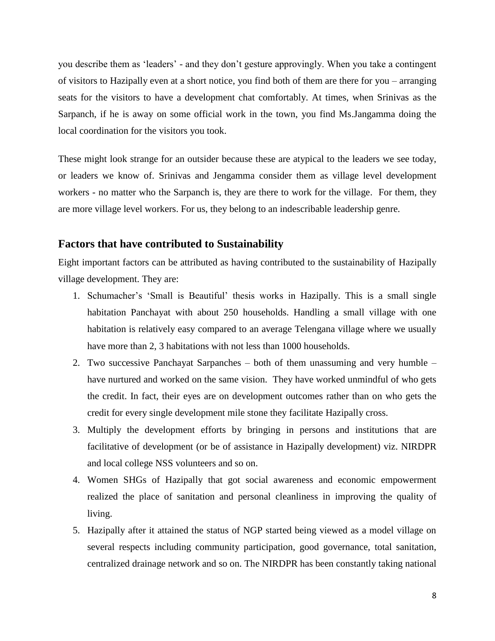you describe them as 'leaders' - and they don't gesture approvingly. When you take a contingent of visitors to Hazipally even at a short notice, you find both of them are there for you – arranging seats for the visitors to have a development chat comfortably. At times, when Srinivas as the Sarpanch, if he is away on some official work in the town, you find Ms.Jangamma doing the local coordination for the visitors you took.

These might look strange for an outsider because these are atypical to the leaders we see today, or leaders we know of. Srinivas and Jengamma consider them as village level development workers - no matter who the Sarpanch is, they are there to work for the village. For them, they are more village level workers. For us, they belong to an indescribable leadership genre.

#### **Factors that have contributed to Sustainability**

Eight important factors can be attributed as having contributed to the sustainability of Hazipally village development. They are:

- 1. Schumacher's 'Small is Beautiful' thesis works in Hazipally. This is a small single habitation Panchayat with about 250 households. Handling a small village with one habitation is relatively easy compared to an average Telengana village where we usually have more than 2, 3 habitations with not less than 1000 households.
- 2. Two successive Panchayat Sarpanches both of them unassuming and very humble have nurtured and worked on the same vision. They have worked unmindful of who gets the credit. In fact, their eyes are on development outcomes rather than on who gets the credit for every single development mile stone they facilitate Hazipally cross.
- 3. Multiply the development efforts by bringing in persons and institutions that are facilitative of development (or be of assistance in Hazipally development) viz. NIRDPR and local college NSS volunteers and so on.
- 4. Women SHGs of Hazipally that got social awareness and economic empowerment realized the place of sanitation and personal cleanliness in improving the quality of living.
- 5. Hazipally after it attained the status of NGP started being viewed as a model village on several respects including community participation, good governance, total sanitation, centralized drainage network and so on. The NIRDPR has been constantly taking national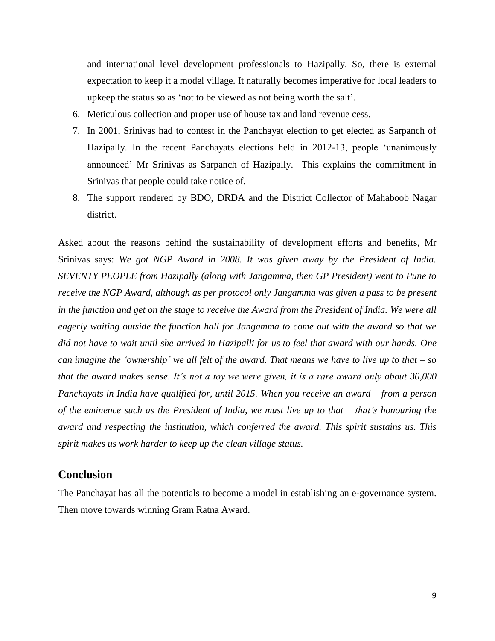and international level development professionals to Hazipally. So, there is external expectation to keep it a model village. It naturally becomes imperative for local leaders to upkeep the status so as 'not to be viewed as not being worth the salt'.

- 6. Meticulous collection and proper use of house tax and land revenue cess.
- 7. In 2001, Srinivas had to contest in the Panchayat election to get elected as Sarpanch of Hazipally. In the recent Panchayats elections held in 2012-13, people 'unanimously announced' Mr Srinivas as Sarpanch of Hazipally. This explains the commitment in Srinivas that people could take notice of.
- 8. The support rendered by BDO, DRDA and the District Collector of Mahaboob Nagar district.

Asked about the reasons behind the sustainability of development efforts and benefits, Mr Srinivas says: *We got NGP Award in 2008. It was given away by the President of India. SEVENTY PEOPLE from Hazipally (along with Jangamma, then GP President) went to Pune to receive the NGP Award, although as per protocol only Jangamma was given a pass to be present in the function and get on the stage to receive the Award from the President of India. We were all eagerly waiting outside the function hall for Jangamma to come out with the award so that we did not have to wait until she arrived in Hazipalli for us to feel that award with our hands. One can imagine the 'ownership' we all felt of the award. That means we have to live up to that – so that the award makes sense. It's not a toy we were given, it is a rare award only about 30,000 Panchayats in India have qualified for, until 2015. When you receive an award – from a person of the eminence such as the President of India, we must live up to that – that's honouring the award and respecting the institution, which conferred the award. This spirit sustains us. This spirit makes us work harder to keep up the clean village status.* 

#### **Conclusion**

The Panchayat has all the potentials to become a model in establishing an e-governance system. Then move towards winning Gram Ratna Award.